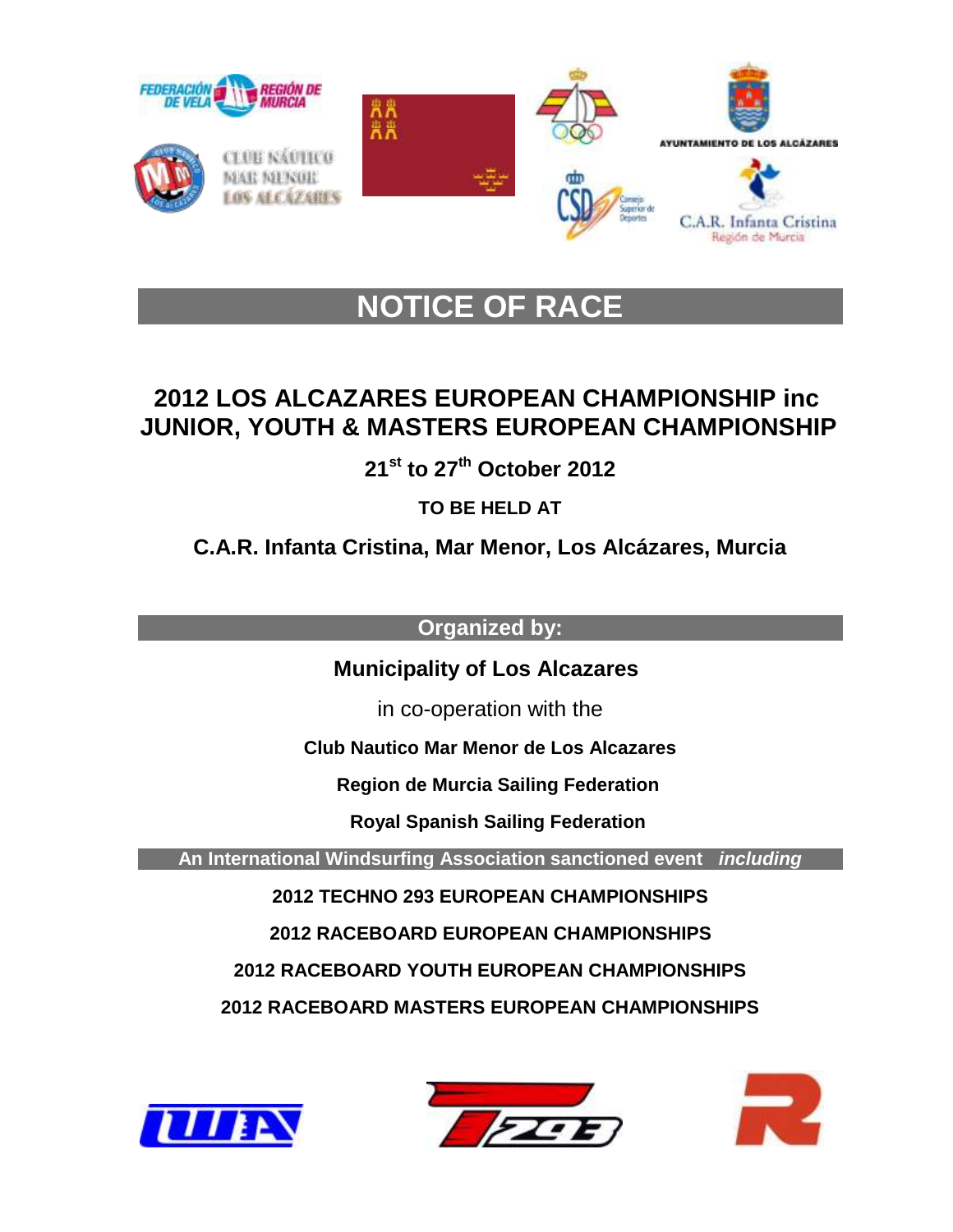

# **NOTICE OF RACE**

# **2012 LOS ALCAZARES EUROPEAN CHAMPIONSHIP inc JUNIOR, YOUTH & MASTERS EUROPEAN CHAMPIONSHIP**

**21st to 27th October 2012**

**TO BE HELD AT**

**C.A.R. Infanta Cristina, Mar Menor, Los Alcázares, Murcia**

**Organized by:** 

 **Municipality of Los Alcazares**

in co-operation with the

**Club Nautico Mar Menor de Los Alcazares** 

 **Region de Murcia Sailing Federation** 

 **Royal Spanish Sailing Federation**

**An International Windsurfing Association sanctioned event** *including*

**2012 TECHNO 293 EUROPEAN CHAMPIONSHIPS**

 **2012 RACEBOARD EUROPEAN CHAMPIONSHIPS** 

**2012 RACEBOARD YOUTH EUROPEAN CHAMPIONSHIPS**

**2012 RACEBOARD MASTERS EUROPEAN CHAMPIONSHIPS**





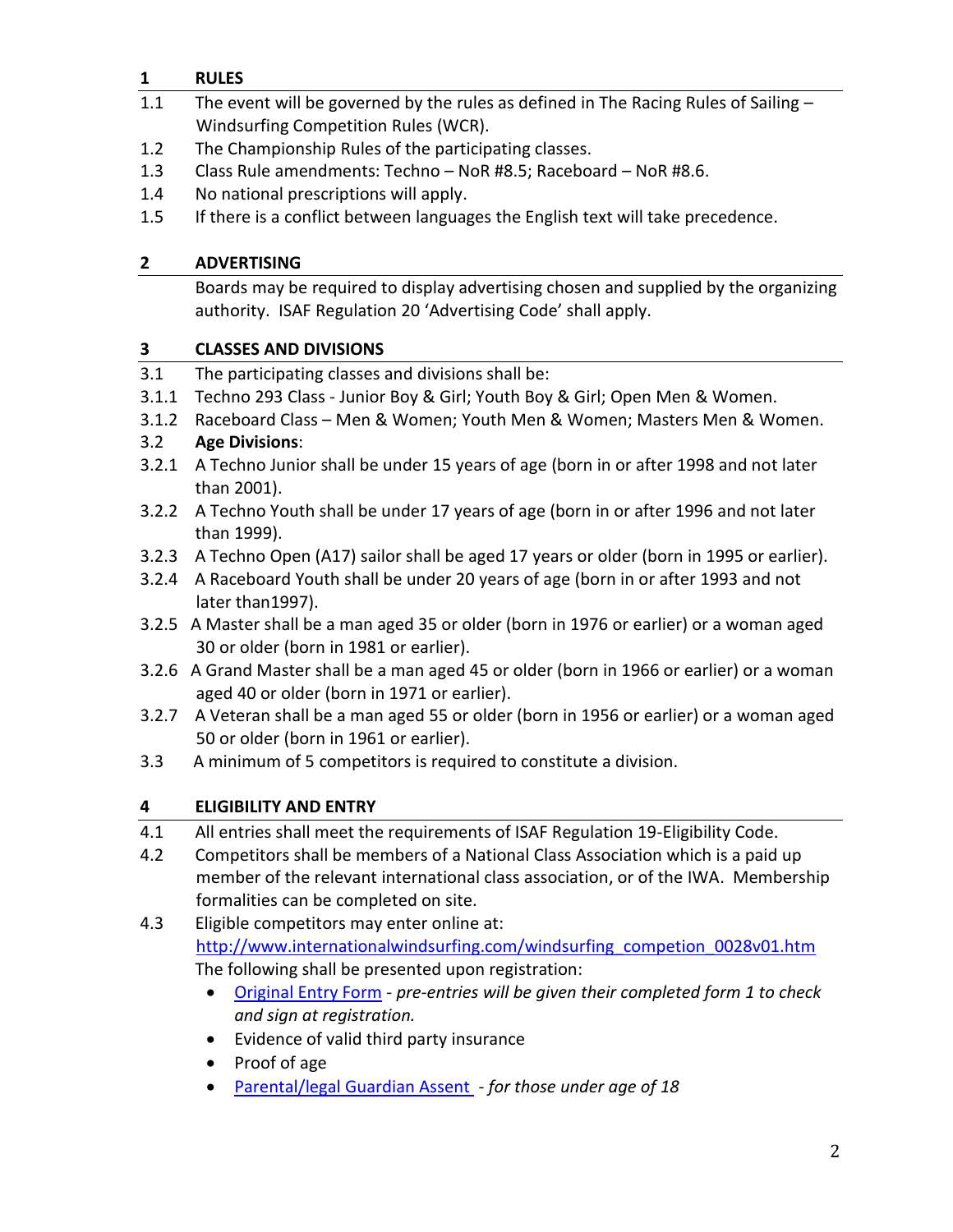# **1 RULES**

- 1.1 The event will be governed by the rules as defined in The Racing Rules of Sailing -Windsurfing Competition Rules (WCR).
- 1.2 The Championship Rules of the participating classes.
- 1.3 Class Rule amendments: Techno NoR #8.5; Raceboard NoR #8.6.
- 1.4 No national prescriptions will apply.
- 1.5 If there is a conflict between languages the English text will take precedence.

#### **2 ADVERTISING**

Boards may be required to display advertising chosen and supplied by the organizing authority. ISAF Regulation 20 'Advertising Code' shall apply.

#### **3 CLASSES AND DIVISIONS**

- 3.1 The participating classes and divisions shall be:
- 3.1.1 Techno 293 Class Junior Boy & Girl; Youth Boy & Girl; Open Men & Women.
- 3.1.2 Raceboard Class Men & Women; Youth Men & Women; Masters Men & Women.

## 3.2 **Age Divisions**:

- 3.2.1 A Techno Junior shall be under 15 years of age (born in or after 1998 and not later than 2001).
- 3.2.2 A Techno Youth shall be under 17 years of age (born in or after 1996 and not later than 1999).
- 3.2.3 A Techno Open (A17) sailor shall be aged 17 years or older (born in 1995 or earlier).
- 3.2.4 A Raceboard Youth shall be under 20 years of age (born in or after 1993 and not later than1997).
- 3.2.5 A Master shall be a man aged 35 or older (born in 1976 or earlier) or a woman aged 30 or older (born in 1981 or earlier).
- 3.2.6 A Grand Master shall be a man aged 45 or older (born in 1966 or earlier) or a woman aged 40 or older (born in 1971 or earlier).
- 3.2.7 A Veteran shall be a man aged 55 or older (born in 1956 or earlier) or a woman aged 50 or older (born in 1961 or earlier).
- 3.3 A minimum of 5 competitors is required to constitute a division.

# **4 ELIGIBILITY AND ENTRY**

- 4.1 All entries shall meet the requirements of ISAF Regulation 19-Eligibility Code.
- 4.2 Competitors shall be members of a National Class Association which is a paid up member of the relevant international class association, or of the IWA. Membership formalities can be completed on site.

# 4.3 Eligible competitors may enter online at: [http://www.internationalwindsurfing.com/windsurfing\\_competion\\_0028v01.htm](http://www.internationalwindsurfing.com/windsurfing_competion_0028v01.htm) The following shall be presented upon registration:

- [Original Entry Form](http://www.internationalwindsurfing.com/userfiles/documents/JYM_Europeans_Murcia_2012_Form_1.pdf) *pre-entries will be given their completed form 1 to check and sign at registration.*
- Evidence of valid third party insurance
- Proof of age
- [Parental/legal Guardian Assent](http://www.internationalwindsurfing.com/userfiles/documents/JYM_Europeans_Murcia_2012_Form_2.pdf)  *for those under age of 18*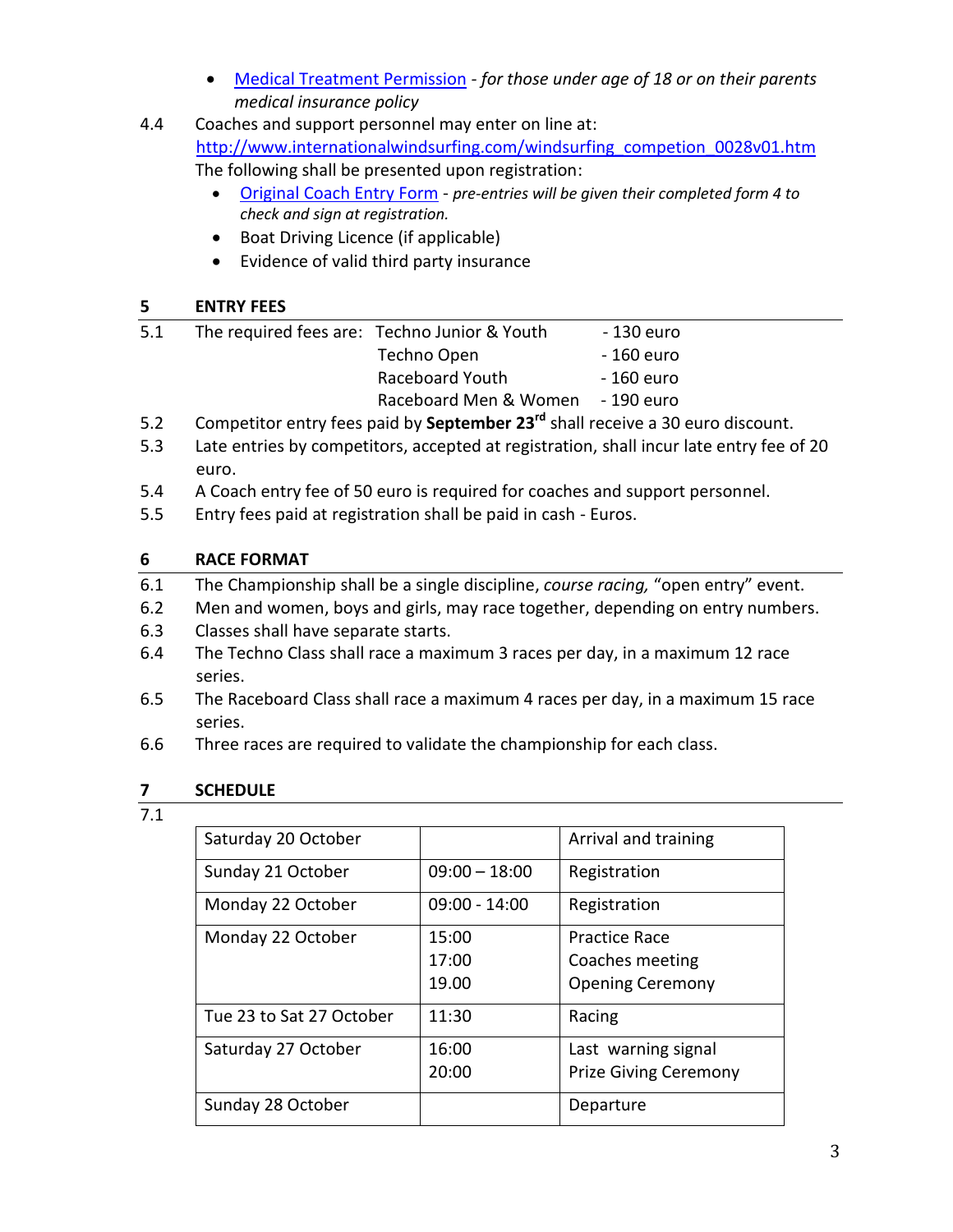- [Medical Treatment Permission](http://www.internationalwindsurfing.com/userfiles/documents/JYM_Europeans_Murcia_2012_Form_3.pdf) *- for those under age of 18 or on their parents medical insurance policy*
- 4.4 Coaches and support personnel may enter on line at: [http://www.internationalwindsurfing.com/windsurfing\\_competion\\_0028v01.htm](http://www.internationalwindsurfing.com/windsurfing_competion_0028v01.htm) The following shall be presented upon registration:
	- [Original Coach Entry Form](http://www.internationalwindsurfing.com/userfiles/documents/JYM_Europeans_Murcia_2012_Form_4.pdf) *pre-entries will be given their completed form 4 to check and sign at registration.*
	- Boat Driving Licence (if applicable)
	- Evidence of valid third party insurance

# **5 ENTRY FEES**

| 5.1 | The required fees are: Techno Junior & Youth | - 130 euro |
|-----|----------------------------------------------|------------|
|     | Techno Open                                  | - 160 euro |
|     | Raceboard Youth                              | - 160 euro |
|     | Raceboard Men & Women                        | - 190 euro |
|     |                                              |            |

- 5.2 Competitor entry fees paid by **September 23rd** shall receive a 30 euro discount.
- 5.3 Late entries by competitors, accepted at registration, shall incur late entry fee of 20 euro.
- 5.4 A Coach entry fee of 50 euro is required for coaches and support personnel.
- 5.5 Entry fees paid at registration shall be paid in cash Euros.

# **6 RACE FORMAT**

- 6.1 The Championship shall be a single discipline, *course racing,* "open entry" event.
- 6.2 Men and women, boys and girls, may race together, depending on entry numbers.
- 6.3 Classes shall have separate starts.
- 6.4 The Techno Class shall race a maximum 3 races per day, in a maximum 12 race series.
- 6.5 The Raceboard Class shall race a maximum 4 races per day, in a maximum 15 race series.
- 6.6 Three races are required to validate the championship for each class.

# **7 SCHEDULE**

7.1

| Saturday 20 October      |                         | Arrival and training                                               |
|--------------------------|-------------------------|--------------------------------------------------------------------|
| Sunday 21 October        | $09:00 - 18:00$         | Registration                                                       |
| Monday 22 October        | $09:00 - 14:00$         | Registration                                                       |
| Monday 22 October        | 15:00<br>17:00<br>19.00 | <b>Practice Race</b><br>Coaches meeting<br><b>Opening Ceremony</b> |
| Tue 23 to Sat 27 October | 11:30                   | Racing                                                             |
| Saturday 27 October      | 16:00<br>20:00          | Last warning signal<br><b>Prize Giving Ceremony</b>                |
| Sunday 28 October        |                         | Departure                                                          |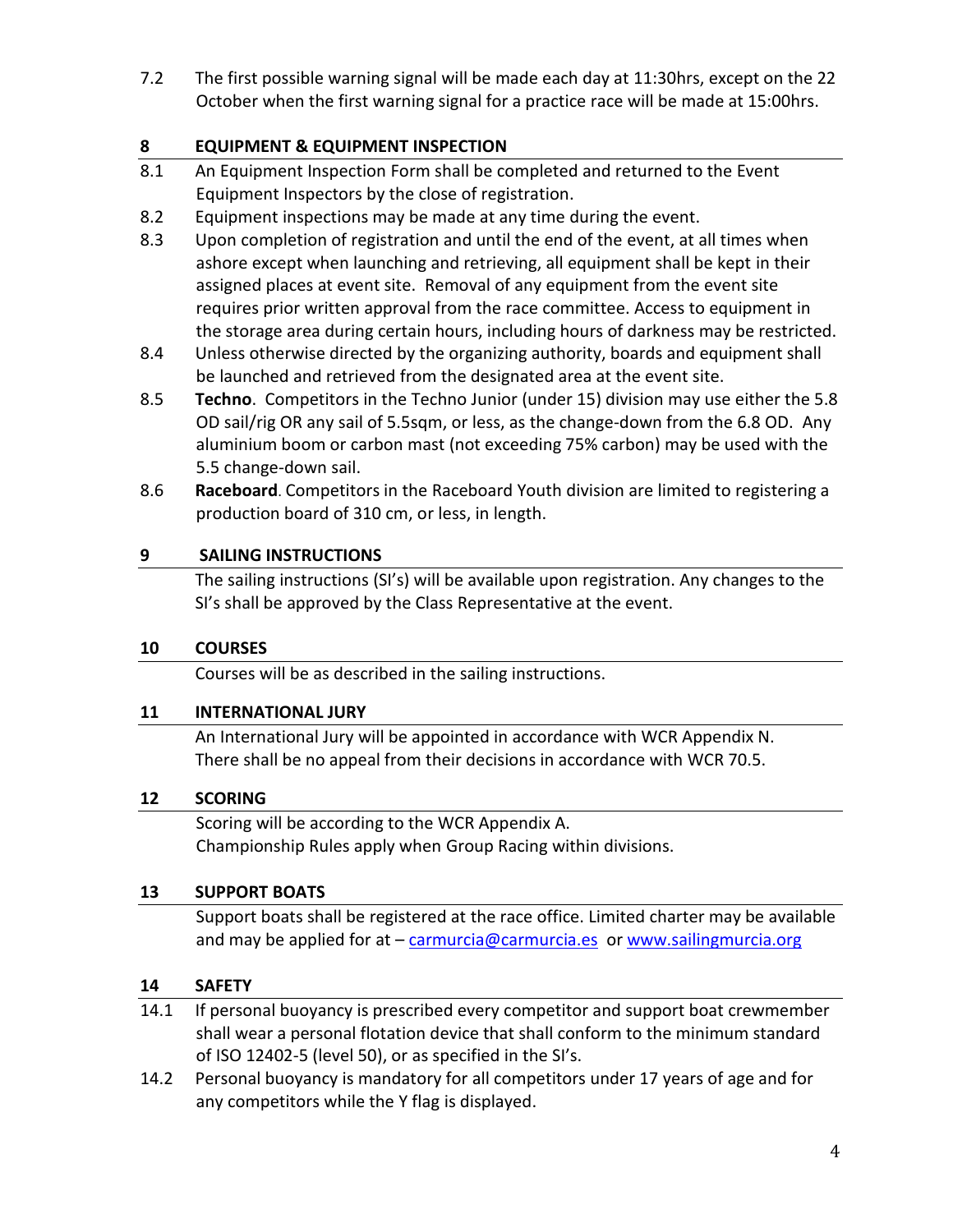7.2 The first possible warning signal will be made each day at 11:30hrs, except on the 22 October when the first warning signal for a practice race will be made at 15:00hrs.

## **8 EQUIPMENT & EQUIPMENT INSPECTION**

- 8.1 An Equipment Inspection Form shall be completed and returned to the Event Equipment Inspectors by the close of registration.
- 8.2 Equipment inspections may be made at any time during the event.
- 8.3 Upon completion of registration and until the end of the event, at all times when ashore except when launching and retrieving, all equipment shall be kept in their assigned places at event site. Removal of any equipment from the event site requires prior written approval from the race committee. Access to equipment in the storage area during certain hours, including hours of darkness may be restricted.
- 8.4 Unless otherwise directed by the organizing authority, boards and equipment shall be launched and retrieved from the designated area at the event site.
- 8.5 **Techno**. Competitors in the Techno Junior (under 15) division may use either the 5.8 OD sail/rig OR any sail of 5.5sqm, or less, as the change-down from the 6.8 OD. Any aluminium boom or carbon mast (not exceeding 75% carbon) may be used with the 5.5 change-down sail.
- 8.6 **Raceboard**. Competitors in the Raceboard Youth division are limited to registering a production board of 310 cm, or less, in length.

## **9 SAILING INSTRUCTIONS**

The sailing instructions (SI's) will be available upon registration. Any changes to the SI's shall be approved by the Class Representative at the event.

#### **10 COURSES**

Courses will be as described in the sailing instructions.

#### **11 INTERNATIONAL JURY**

An International Jury will be appointed in accordance with WCR Appendix N. There shall be no appeal from their decisions in accordance with WCR 70.5.

#### **12 SCORING**

Scoring will be according to the WCR Appendix A. Championship Rules apply when Group Racing within divisions.

#### **13 SUPPORT BOATS**

Support boats shall be registered at the race office. Limited charter may be available and may be applied for at - [carmurcia@carmurcia.es](mailto:carmurcia@carmurcia.es) or [www.sailingmurcia.org](http://www.sailingmurcia.org/)

#### **14 SAFETY**

- 14.1 If personal buoyancy is prescribed every competitor and support boat crewmember shall wear a personal flotation device that shall conform to the minimum standard of ISO 12402-5 (level 50), or as specified in the SI's.
- 14.2 Personal buoyancy is mandatory for all competitors under 17 years of age and for any competitors while the Y flag is displayed.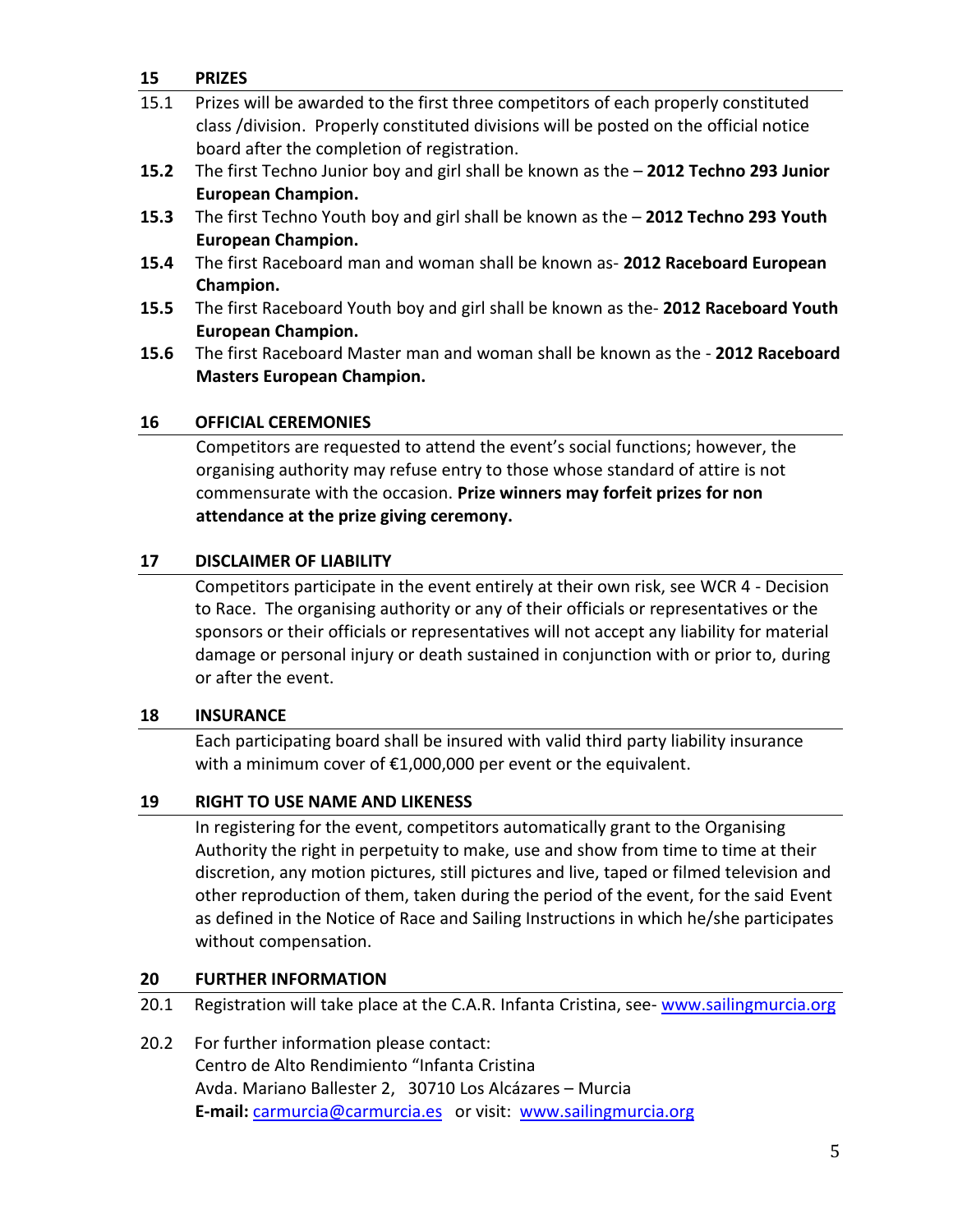#### **15 PRIZES**

| 15.1 | Prizes will be awarded to the first three competitors of each properly constituted    |
|------|---------------------------------------------------------------------------------------|
|      | class /division. Properly constituted divisions will be posted on the official notice |
|      | board after the completion of registration.                                           |

- **15.2** The first Techno Junior boy and girl shall be known as the **2012 Techno 293 Junior European Champion.**
- **15.3** The first Techno Youth boy and girl shall be known as the **2012 Techno 293 Youth European Champion.**
- **15.4** The first Raceboard man and woman shall be known as- **2012 Raceboard European Champion.**
- **15.5** The first Raceboard Youth boy and girl shall be known as the- **2012 Raceboard Youth European Champion.**
- **15.6** The first Raceboard Master man and woman shall be known as the **2012 Raceboard Masters European Champion.**

#### **16 OFFICIAL CEREMONIES**

Competitors are requested to attend the event's social functions; however, the organising authority may refuse entry to those whose standard of attire is not commensurate with the occasion. **Prize winners may forfeit prizes for non attendance at the prize giving ceremony.**

#### **17 DISCLAIMER OF LIABILITY**

Competitors participate in the event entirely at their own risk, see WCR 4 - Decision to Race. The organising authority or any of their officials or representatives or the sponsors or their officials or representatives will not accept any liability for material damage or personal injury or death sustained in conjunction with or prior to, during or after the event.

#### **18 INSURANCE**

Each participating board shall be insured with valid third party liability insurance with a minimum cover of €1,000,000 per event or the equivalent.

#### **19 RIGHT TO USE NAME AND LIKENESS**

In registering for the event, competitors automatically grant to the Organising Authority the right in perpetuity to make, use and show from time to time at their discretion, any motion pictures, still pictures and live, taped or filmed television and other reproduction of them, taken during the period of the event, for the said Event as defined in the Notice of Race and Sailing Instructions in which he/she participates without compensation.

#### **20 FURTHER INFORMATION**

20.1 Registration will take place at the C.A.R. Infanta Cristina, see- [www.sailingmurcia.org](http://www.sailingmurcia.org/)

20.2 For further information please contact: Centro de Alto Rendimiento "Infanta Cristina Avda. Mariano Ballester 2, 30710 Los Alcázares – Murcia **E-mail:** [carmurcia@carmurcia.es](mailto:carmurcia@carmurcia.es) or visit: [www.sailingmurcia.org](http://www.sailingmurcia.org/)